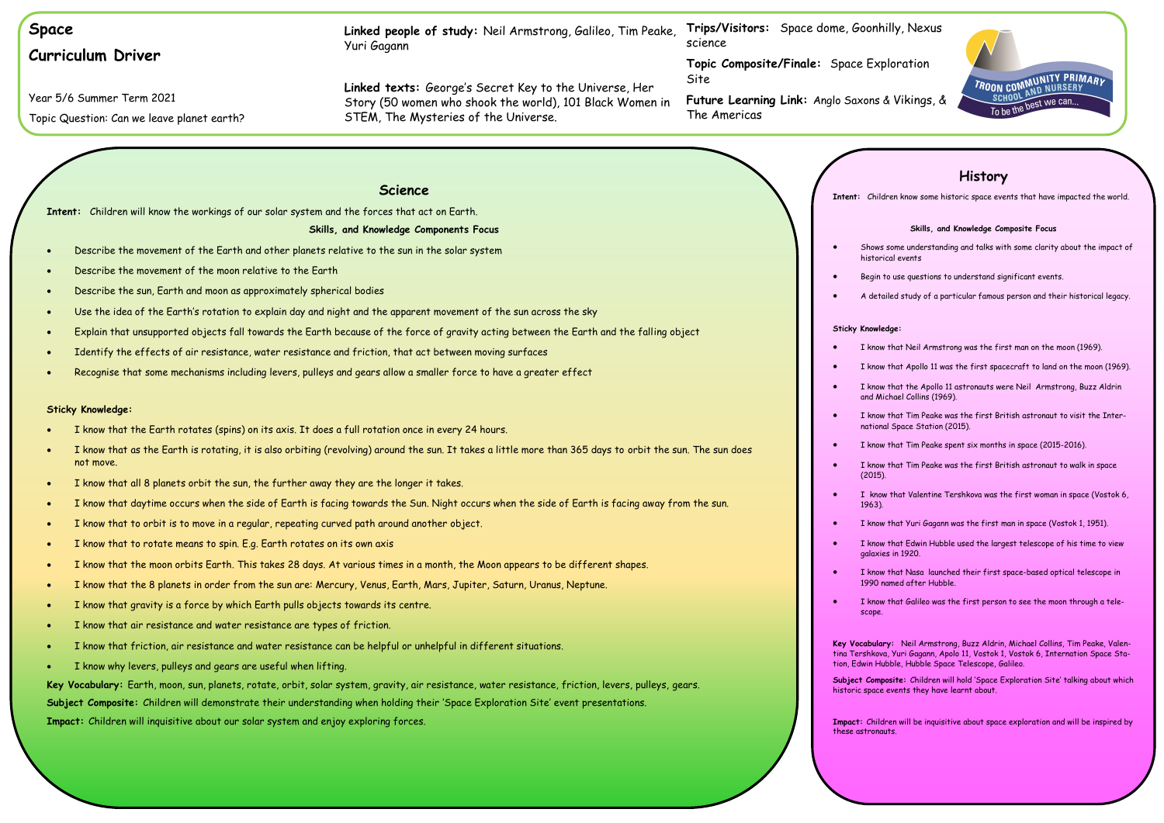

| <b>Space</b>                                                                                                                                               | Linked people of study: Neil Armstrong, Galileo, Tim Peake,<br>Yuri Gagann                                                                                 | Trips/Visitors: Space dome, Goonh<br>science               |
|------------------------------------------------------------------------------------------------------------------------------------------------------------|------------------------------------------------------------------------------------------------------------------------------------------------------------|------------------------------------------------------------|
| <b>Curriculum Driver</b>                                                                                                                                   |                                                                                                                                                            | Topic Composite/Finale: Space Exp                          |
| Year 5/6 Summer Term 2021<br>Topic Question: Can we leave planet earth?                                                                                    | Linked texts: George's Secret Key to the Universe, Her<br>Story (50 women who shook the world), 101 Black Women in<br>STEM, The Mysteries of the Universe. | Site<br>Future Learning Link: Anglo Saxons<br>The Americas |
|                                                                                                                                                            |                                                                                                                                                            |                                                            |
|                                                                                                                                                            |                                                                                                                                                            |                                                            |
|                                                                                                                                                            | <b>Science</b>                                                                                                                                             | Intent: Child                                              |
| Intent: Children will know the workings of our solar system and the forces that act on Earth.                                                              |                                                                                                                                                            |                                                            |
|                                                                                                                                                            | Skills, and Knowledge Components Focus                                                                                                                     |                                                            |
| Describe the movement of the Earth and other planets relative to the sun in the solar system<br>$\bullet$                                                  |                                                                                                                                                            | Shows<br>histori                                           |
| Describe the movement of the moon relative to the Earth<br>$\bullet$                                                                                       |                                                                                                                                                            | Begin t                                                    |
| Describe the sun, Earth and moon as approximately spherical bodies<br>$\bullet$                                                                            |                                                                                                                                                            | A deta                                                     |
| $\bullet$                                                                                                                                                  | Use the idea of the Earth's rotation to explain day and night and the apparent movement of the sun across the sky                                          |                                                            |
| $\bullet$                                                                                                                                                  | Explain that unsupported objects fall towards the Earth because of the force of gravity acting between the Earth and the falling object                    | <b>Sticky Knowle</b>                                       |
| Identify the effects of air resistance, water resistance and friction, that act between moving surfaces                                                    |                                                                                                                                                            | I know                                                     |
| Recognise that some mechanisms including levers, pulleys and gears allow a smaller force to have a greater effect<br>$\bullet$                             |                                                                                                                                                            | I know<br>$\bullet$                                        |
|                                                                                                                                                            |                                                                                                                                                            | I know<br>and Mi                                           |
| <b>Sticky Knowledge:</b>                                                                                                                                   |                                                                                                                                                            | I know                                                     |
| I know that the Earth rotates (spins) on its axis. It does a full rotation once in every 24 hours.                                                         |                                                                                                                                                            | nationo                                                    |
| not move.                                                                                                                                                  | I know that as the Earth is rotating, it is also orbiting (revolving) around the sun. It takes a little more than 365 days to orbit the sun. The sun does  | I know<br>I know                                           |
| I know that all 8 planets orbit the sun, the further away they are the longer it takes.<br>$\bullet$                                                       |                                                                                                                                                            | (2015)<br>I know                                           |
| I know that daytime occurs when the side of Earth is facing towards the Sun. Night occurs when the side of Earth is facing away from the sun.<br>$\bullet$ |                                                                                                                                                            | 1963).                                                     |
| I know that to orbit is to move in a regular, repeating curved path around another object.<br>$\bullet$                                                    |                                                                                                                                                            | I know                                                     |
| I know that to rotate means to spin. E.g. Earth rotates on its own axis<br>$\bullet$                                                                       |                                                                                                                                                            | I know<br>$\bullet$<br>galaxie                             |
| I know that the moon orbits Earth. This takes 28 days. At various times in a month, the Moon appears to be different shapes.<br>$\bullet$                  |                                                                                                                                                            | I know                                                     |
| $\bullet$                                                                                                                                                  | I know that the 8 planets in order from the sun are: Mercury, Venus, Earth, Mars, Jupiter, Saturn, Uranus, Neptune.                                        | 1990 n                                                     |
| I know that gravity is a force by which Earth pulls objects towards its centre.<br>$\bullet$                                                               |                                                                                                                                                            | I know<br>scope.                                           |
| I know that air resistance and water resistance are types of friction.<br>$\bullet$                                                                        |                                                                                                                                                            |                                                            |
| I know that friction, air resistance and water resistance can be helpful or unhelpful in different situations.                                             |                                                                                                                                                            | <b>Key Vocabular</b><br>ting Tershkovo                     |
| I know why levers, pulleys and gears are useful when lifting.                                                                                              |                                                                                                                                                            | tion, Edwin Hu                                             |
|                                                                                                                                                            | Key Vocabulary: Earth, moon, sun, planets, rotate, orbit, solar system, gravity, air resistance, water resistance, friction, levers, pulleys, gears.       | Subject Comp<br>historic space                             |
|                                                                                                                                                            | Subject Composite: Children will demonstrate their understanding when holding their 'Space Exploration Site' event presentations.                          |                                                            |
| Impact: Children will inquisitive about our solar system and enjoy exploring forces.                                                                       |                                                                                                                                                            | Impact: Child<br>these astronal                            |

**Impact:** Children will be inquisitive about space exploration and will be inspired by the set

# **History**

Idren know some historic space events that have impacted the world.

### **Skills, and Knowledge Composite Focus**

s some understanding and talks with some clarity about the impact of rical events

to use questions to understand significant events.

tailed study of a particular famous person and their historical legacy.

### ledge:

w that Neil Armstrong was the first man on the moon (1969).

w that Apollo 11 was the first spacecraft to land on the moon (1969).

w that the Apollo 11 astronauts were Neil Armstrong, Buzz Aldrin .<br>Aichael Collins (1969).

w that Tim Peake was the first British astronaut to visit the Internal Space Station (2015).

w that Tim Peake spent six months in space (2015-2016).

w that Tim Peake was the first British astronaut to walk in space

bu that Valentine Tershkova was the first woman in space (Vostok 6,

w that Yuri Gagann was the first man in space (Vostok 1, 1951).

w that Edwin Hubble used the largest telescope of his time to view ies in  $1920$ .

w that Nasa launched their first space-based optical telescope in named after Hubble.

w that Galileo was the first person to see the moon through a tele-

**Kry:** Neil Armstrong, Buzz Aldrin, Michael Collins, Tim Peake, Valenva, Yuri Gagann, Apolo 11, Vostok 1, Vostok 6, Internation Space Stalubble, Hubble Space Telescope, Galileo.

posite: Children will hold 'Space Exploration Site' talking about which .<br>e events they have learnt about.